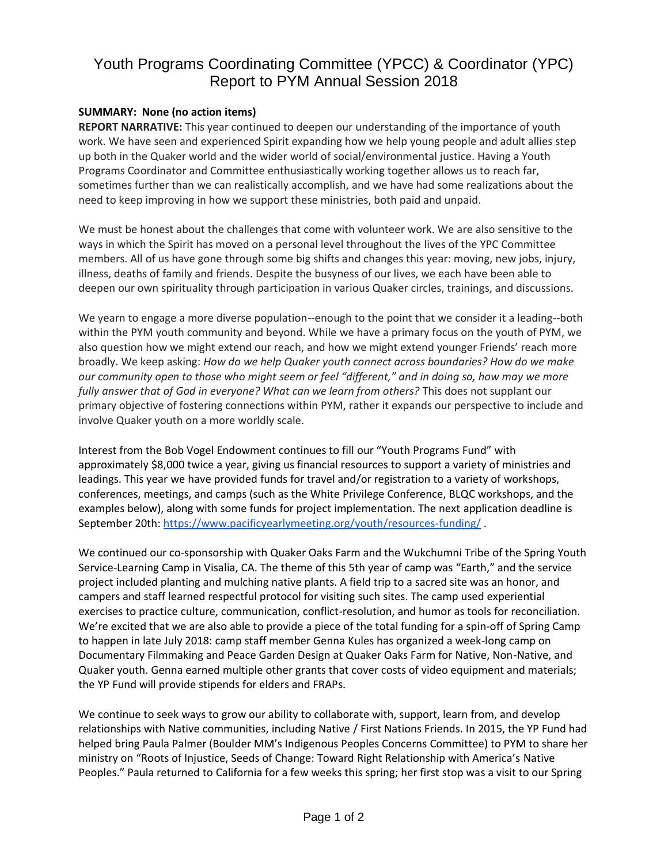## Youth Programs Coordinating Committee (YPCC) & Coordinator (YPC) Report to PYM Annual Session 2018

## **SUMMARY: None (no action items)**

**REPORT NARRATIVE:** This year continued to deepen our understanding of the importance of youth work. We have seen and experienced Spirit expanding how we help young people and adult allies step up both in the Quaker world and the wider world of social/environmental justice. Having a Youth Programs Coordinator and Committee enthusiastically working together allows us to reach far, sometimes further than we can realistically accomplish, and we have had some realizations about the need to keep improving in how we support these ministries, both paid and unpaid.

We must be honest about the challenges that come with volunteer work. We are also sensitive to the ways in which the Spirit has moved on a personal level throughout the lives of the YPC Committee members. All of us have gone through some big shifts and changes this year: moving, new jobs, injury, illness, deaths of family and friends. Despite the busyness of our lives, we each have been able to deepen our own spirituality through participation in various Quaker circles, trainings, and discussions.

We yearn to engage a more diverse population--enough to the point that we consider it a leading--both within the PYM youth community and beyond. While we have a primary focus on the youth of PYM, we also question how we might extend our reach, and how we might extend younger Friends' reach more broadly. We keep asking: *How do we help Quaker youth connect across boundaries? How do we make our community open to those who might seem or feel "different," and in doing so, how may we more*  fully answer that of God in everyone? What can we learn from others? This does not supplant our primary objective of fostering connections within PYM, rather it expands our perspective to include and involve Quaker youth on a more worldly scale.

Interest from the Bob Vogel Endowment continues to fill our "Youth Programs Fund" with approximately \$8,000 twice a year, giving us financial resources to support a variety of ministries and leadings. This year we have provided funds for travel and/or registration to a variety of workshops, conferences, meetings, and camps (such as the White Privilege Conference, BLQC workshops, and the examples below), along with some funds for project implementation. The next application deadline is September 20th:<https://www.pacificyearlymeeting.org/youth/resources-funding/> .

We continued our co-sponsorship with Quaker Oaks Farm and the Wukchumni Tribe of the Spring Youth Service-Learning Camp in Visalia, CA. The theme of this 5th year of camp was "Earth," and the service project included planting and mulching native plants. A field trip to a sacred site was an honor, and campers and staff learned respectful protocol for visiting such sites. The camp used experiential exercises to practice culture, communication, conflict-resolution, and humor as tools for reconciliation. We're excited that we are also able to provide a piece of the total funding for a spin-off of Spring Camp to happen in late July 2018: camp staff member Genna Kules has organized a week-long camp on Documentary Filmmaking and Peace Garden Design at Quaker Oaks Farm for Native, Non-Native, and Quaker youth. Genna earned multiple other grants that cover costs of video equipment and materials; the YP Fund will provide stipends for elders and FRAPs.

We continue to seek ways to grow our ability to collaborate with, support, learn from, and develop relationships with Native communities, including Native / First Nations Friends. In 2015, the YP Fund had helped bring Paula Palmer (Boulder MM's Indigenous Peoples Concerns Committee) to PYM to share her ministry on "Roots of Injustice, Seeds of Change: Toward Right Relationship with America's Native Peoples." Paula returned to California for a few weeks this spring; her first stop was a visit to our Spring